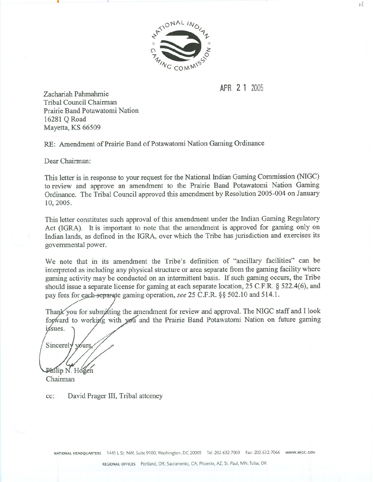

APR2 1 2005

N

Zachariah Pahmahmie Tribal Council Chairman Prairie Band Potawatomi Nation 16281 Q Road Mayetta, KS 66509

RE: Amendment of Prairie Band of Potawatomi Nation Gaming Ordinance

Dear Chairman:

.

This letter is in response to your request for the National Indian Gaming Commission (NIGC) to review and approve an amendment to the Prairie Band Potawatomi Nation Gaming Ordinance. The Tribal Council approved this amendment by Resolution 2005-004 on January 10, 2005.

This letter constitutes such approval of this amendment under the Indian Gaming Regulatory Act (IGRA). It is important to note that the amendment is approved for gaming only on Indian lands, as defined in the IGRA, over which the Tribe has jurisdiction and exercises its governmental power.

We note that in its amendment the Tribe's definition of "ancillary facilities" can be interpreted as including any physical structure or area separate from the gaming facility where gaming activity may be conducted on an intermittent basis. If such gaming occurs, the Tribe should issue a separate license for gaming at each separate location, 25 C.F.R. § 522.4(6), and pay fees for each separate gaming operation, see 25 C.F.R. §§ 502.10 and 514.1.

Thank you for submitting the amendment for review and approval. The NIGC staff and I look forward to working with you and the Prairie Band Potawatomi Nation on future gaming issues.

Sincerely vours Philip N. Hogen

Chairman

cc: David Prager III, Tribal attorney

NATIONAL HEADQUARTERS 1441 LSt. NW, Suite 9100, Washington, DC 20005 Tel: 202.632.7003 Fax: 202.632.7066 www.NIGC.GOV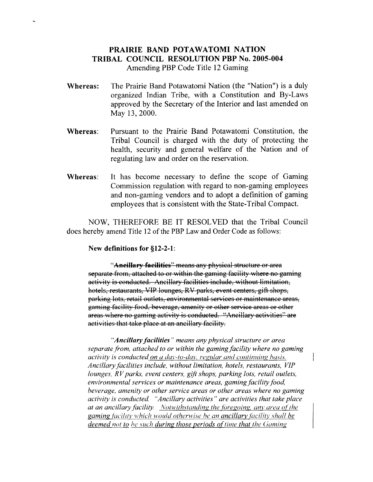# PRAIRIE BAND POTAWATOMI NATION **TRIBAL COUNCIL RESOLUTION PBP No. 2005-004** Amending PBP Code Title 12 Gaming

- The Prairie Band Potawatomi Nation (the "Nation") is a duly Whereas: organized Indian Tribe, with a Constitution and By-Laws approved by the Secretary of the Interior and last amended on May 13, 2000.
- Pursuant to the Prairie Band Potawatomi Constitution, the Whereas: Tribal Council is charged with the duty of protecting the health, security and general welfare of the Nation and of regulating law and order on the reservation.
- It has become necessary to define the scope of Gaming Whereas: Commission regulation with regard to non-gaming employees and non-gaming vendors and to adopt a definition of gaming employees that is consistent with the State-Tribal Compact.

NOW, THEREFORE BE IT RESOLVED that the Tribal Council does hereby amend Title 12 of the PBP Law and Order Code as follows:

### New definitions for §12-2-1:

"Ancillary facilities" means any physical structure or area separate from, attached to or within the gaming facility where no gaming activity is conducted. Ancillary facilities include, without limitation, hotels, restaurants, VIP lounges, RV parks, event centers, gift shops, parking lots, retail outlets, environmental services or maintenance areas. gaming facility food, beverage, amenity or other service areas or other areas where no gaming activity is conducted. "Ancillary activities" are activities that take place at an ancillary facility.

"Ancillary facilities" means any physical structure or area separate from, attached to or within the gaming facility where no gaming activity is conducted on a day-to-day, regular and continuing basis. Ancillary facilities include, without limitation, hotels, restaurants, VIP lounges, RV parks, event centers, gift shops, parking lots, retail outlets, environmental services or maintenance areas, gaming facility food, beverage, amenity or other service areas or other areas where no gaming activity is conducted. "Ancillary activities" are activities that take place at an ancillary facility. Notwithstanding the foregoing, any area of the gaming facility which would otherwise be an ancillary facility shall be deemed not to be such during those periods of time that the Gaming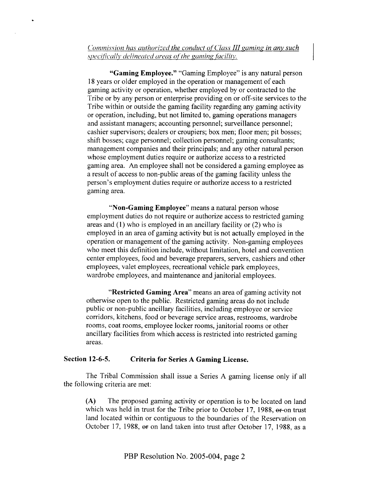Commission has authorized the conduct of Class III gaming in any such specifically delineated areas of the gaming facility.

"Gaming Employee." "Gaming Employee" is any natural person 18 years or older employed in the operation or management of each gaming activity or operation, whether employed by or contracted to the Tribe or by any person or enterprise providing on or off-site services to the Tribe within or outside the gaming facility regarding any gaming activity or operation, including, but not limited to, gaming operations managers and assistant managers; accounting personnel; surveillance personnel; cashier supervisors; dealers or croupiers; box men; floor men; pit bosses; shift bosses; cage personnel; collection personnel; gaming consultants; management companies and their principals; and any other natural person whose employment duties require or authorize access to a restricted gaming area. An employee shall not be considered a gaming employee as a result of access to non-public areas of the gaming facility unless the person's employment duties require or authorize access to a restricted gaming area.

"Non-Gaming Employee" means a natural person whose employment duties do not require or authorize access to restricted gaming areas and  $(1)$  who is employed in an ancillary facility or  $(2)$  who is employed in an area of gaming activity but is not actually employed in the operation or management of the gaming activity. Non-gaming employees who meet this definition include, without limitation, hotel and convention center employees, food and beverage preparers, servers, cashiers and other employees, valet employees, recreational vehicle park employees, wardrobe employees, and maintenance and janitorial employees.

"Restricted Gaming Area" means an area of gaming activity not otherwise open to the public. Restricted gaming areas do not include public or non-public ancillary facilities, including employee or service corridors, kitchens, food or beverage service areas, restrooms, wardrobe rooms, coat rooms, employee locker rooms, janitorial rooms or other ancillary facilities from which access is restricted into restricted gaming areas.

#### **Section 12-6-5.** Criteria for Series A Gaming License.

The Tribal Commission shall issue a Series A gaming license only if all the following criteria are met:

 $(A)$ The proposed gaming activity or operation is to be located on land which was held in trust for the Tribe prior to October 17, 1988, or on trust land located within or contiguous to the boundaries of the Reservation on October 17, 1988, or on land taken into trust after October 17, 1988, as a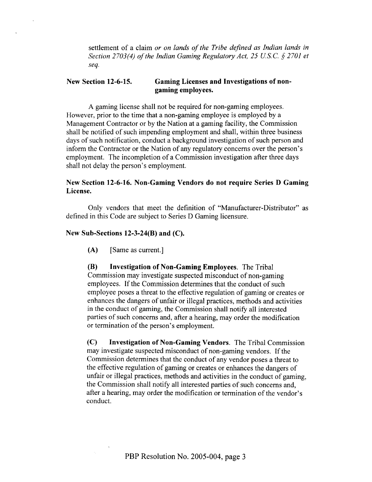settlement of a claim or on lands of the Tribe defined as Indian lands in Section 2703(4) of the Indian Gaming Regulatory Act, 25 U.S.C. § 2701 et seq.

### **New Section 12-6-15. Gaming Licenses and Investigations of non**gaming employees.

A gaming license shall not be required for non-gaming employees. However, prior to the time that a non-gaming employee is employed by a Management Contractor or by the Nation at a gaming facility, the Commission shall be notified of such impending employment and shall, within three business days of such notification, conduct a background investigation of such person and inform the Contractor or the Nation of any regulatory concerns over the person's employment. The incompletion of a Commission investigation after three days shall not delay the person's employment.

## New Section 12-6-16. Non-Gaming Vendors do not require Series D Gaming License.

Only vendors that meet the definition of "Manufacturer-Distributor" as defined in this Code are subject to Series D Gaming licensure.

### New Sub-Sections  $12-3-24(B)$  and (C).

 $(A)$ [Same as current.]

**(B) Investigation of Non-Gaming Employees.** The Tribal Commission may investigate suspected misconduct of non-gaming employees. If the Commission determines that the conduct of such employee poses a threat to the effective regulation of gaming or creates or enhances the dangers of unfair or illegal practices, methods and activities in the conduct of gaming, the Commission shall notify all interested parties of such concerns and, after a hearing, may order the modification or termination of the person's employment.

 $(C)$ **Investigation of Non-Gaming Vendors.** The Tribal Commission may investigate suspected misconduct of non-gaming vendors. If the Commission determines that the conduct of any vendor poses a threat to the effective regulation of gaming or creates or enhances the dangers of unfair or illegal practices, methods and activities in the conduct of gaming, the Commission shall notify all interested parties of such concerns and, after a hearing, may order the modification or termination of the vendor's conduct.